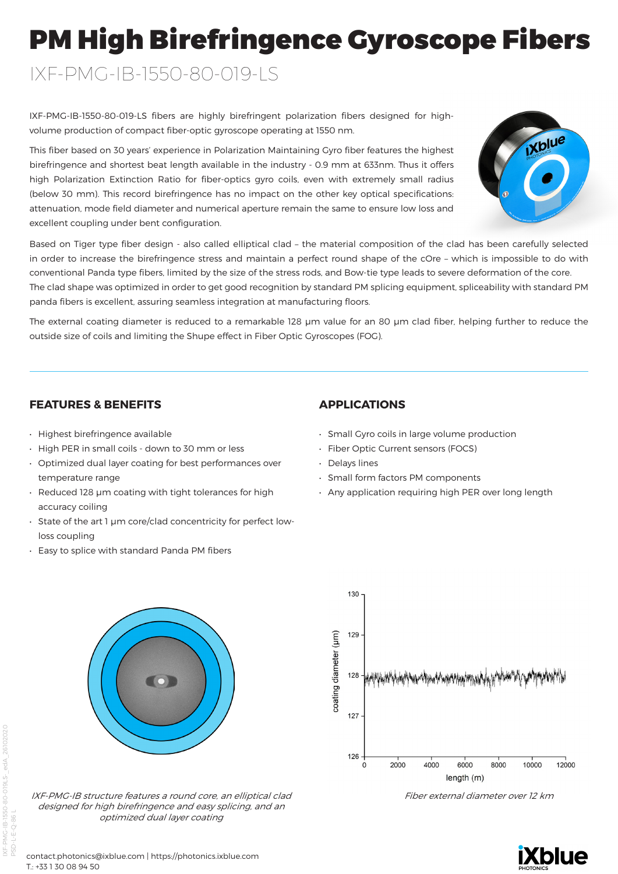# PM High Birefringence Gyroscope Fibers

IXF-PMG-IB-1550-80-019-LS

IXF-PMG-IB-1550-80-019-LS fibers are highly birefringent polarization fibers designed for highvolume production of compact fiber-optic gyroscope operating at 1550 nm.

This fiber based on 30 years' experience in Polarization Maintaining Gyro fiber features the highest birefringence and shortest beat length available in the industry - 0.9 mm at 633nm. Thus it offers high Polarization Extinction Ratio for fiber-optics gyro coils, even with extremely small radius (below 30 mm). This record birefringence has no impact on the other key optical specifications: attenuation, mode field diameter and numerical aperture remain the same to ensure low loss and excellent coupling under bent configuration.



Based on Tiger type fiber design - also called elliptical clad – the material composition of the clad has been carefully selected in order to increase the birefringence stress and maintain a perfect round shape of the cOre – which is impossible to do with conventional Panda type fibers, limited by the size of the stress rods, and Bow-tie type leads to severe deformation of the core. The clad shape was optimized in order to get good recognition by standard PM splicing equipment, spliceability with standard PM panda fibers is excellent, assuring seamless integration at manufacturing floors.

The external coating diameter is reduced to a remarkable 128 µm value for an 80 µm clad fiber, helping further to reduce the outside size of coils and limiting the Shupe effect in Fiber Optic Gyroscopes (FOG).

### **FEATURES & BENEFITS**

- Highest birefringence available
- High PER in small coils down to 30 mm or less
- Optimized dual layer coating for best performances over temperature range
- Reduced 128 µm coating with tight tolerances for high accuracy coiling
- State of the art 1 µm core/clad concentricity for perfect lowloss coupling
- Easy to splice with standard Panda PM fibers

## **APPLICATIONS**

- Small Gyro coils in large volume production
- Fiber Optic Current sensors (FOCS)
- Delays lines
- Small form factors PM components
- Any application requiring high PER over long length



Fiber external diameter over 12 km



80-019LS-edA





12000

10000

IXF-PMG-IB structure features a round core, an elliptical clad